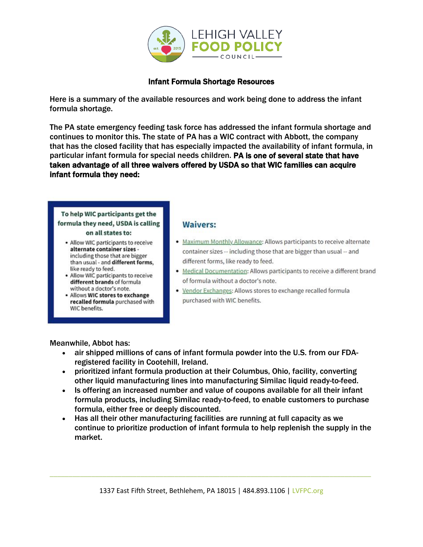

## Infant Formula Shortage Resources

Here is a summary of the available resources and work being done to address the infant formula shortage.

The PA state emergency feeding task force has addressed the infant formula shortage and continues to monitor this. The state of PA has a WIC contract with Abbott, the company that has the closed facility that has especially impacted the availability of infant formula, in particular infant formula for special needs children. PA is one of several state that have taken advantage of all three waivers offered by USDA so that WIC families can acquire infant formula they need:

#### To help WIC participants get the formula they need, USDA is calling on all states to:

- Allow WIC participants to receive alternate container sizes -
- including those that are bigger than usual - and different forms, like ready to feed. • Allow WIC participants to receive
- different brands of formula without a doctor's note.
- · Allows WIC stores to exchange recalled formula purchased with WIC benefits.

### **Waivers:**

- Maximum Monthly Allowance: Allows participants to receive alternate container sizes -- including those that are bigger than usual -- and different forms, like ready to feed.
- . Medical Documentation: Allows participants to receive a different brand of formula without a doctor's note.
- . Vendor Exchanges: Allows stores to exchange recalled formula purchased with WIC benefits.

Meanwhile, Abbot has:

- air shipped millions of cans of infant formula powder into the U.S. from our FDAregistered facility in Cootehill, Ireland.
- prioritized infant formula production at their Columbus, Ohio, facility, converting other liquid manufacturing lines into manufacturing Similac liquid ready-to-feed.
- Is offering an increased number and value of coupons available for all their infant formula products, including Similac ready-to-feed, to enable customers to purchase formula, either free or deeply discounted.
- Has all their other manufacturing facilities are running at full capacity as we continue to prioritize production of infant formula to help replenish the supply in the market.

\_\_\_\_\_\_\_\_\_\_\_\_\_\_\_\_\_\_\_\_\_\_\_\_\_\_\_\_\_\_\_\_\_\_\_\_\_\_\_\_\_\_\_\_\_\_\_\_\_\_\_\_\_\_\_\_\_\_\_\_\_\_\_\_\_\_\_\_\_\_\_\_\_\_\_\_\_\_\_\_\_\_\_\_\_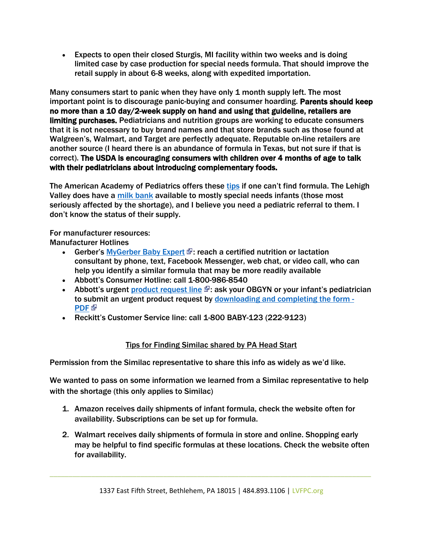• Expects to open their closed Sturgis, MI facility within two weeks and is doing limited case by case production for special needs formula. That should improve the retail supply in about 6-8 weeks, along with expedited importation.

Many consumers start to panic when they have only 1 month supply left. The most important point is to discourage panic-buying and consumer hoarding. Parents should keep no more than a 10 day/2-week supply on hand and using that guideline, retailers are limiting purchases. Pediatricians and nutrition groups are working to educate consumers that it is not necessary to buy brand names and that store brands such as those found at Walgreen's, Walmart, and Target are perfectly adequate. Reputable on-line retailers are another source (I heard there is an abundance of formula in Texas, but not sure if that is correct). The USDA is encouraging consumers with children over 4 months of age to talk with their pediatricians about introducing complementary foods.

The American Academy of Pediatrics offers these [tips](https://healthychildren.org/English/tips-tools/ask-the-pediatrician/Pages/Are-there-shortages-of-infant-formula-due-to-COVID-19.aspx) if one can't find formula. The Lehigh Valley does have a [milk bank](https://www.lvbreastfeeding.com/milk-depot) available to mostly special needs infants (those most seriously affected by the shortage), and I believe you need a pediatric referral to them. I don't know the status of their supply.

### For manufacturer resources:

Manufacturer Hotlines

- Gerber's [MyGerber Baby Expert](https://www.gerber.com/mygerber-baby-expert)  $\Phi$ : reach a certified nutrition or lactation consultant by phone, text, Facebook Messenger, web chat, or video call, who can help you identify a similar formula that may be more readily available
- Abbott's Consumer Hotline: call 1-800-986-8540
- Abbott's urgent [product request line](https://abbottnutrition.com/metabolics)  $\mathbb{F}$ : ask your OBGYN or your infant's pediatrician to submit an urgent product request by [downloading and completing the form](https://static.abbottnutrition.com/cms-prod/abbottnutrition-2016.com/img/22-PSN-C_Print-Metabolics_Urgent_Product_RequestForm_FA04a.pdf) - [PDF](https://static.abbottnutrition.com/cms-prod/abbottnutrition-2016.com/img/22-PSN-C_Print-Metabolics_Urgent_Product_RequestForm_FA04a.pdf)<sup>®</sup>
- Reckitt's Customer Service line: call 1-800 BABY-123 (222-9123)

# Tips for Finding Similac shared by PA Head Start

Permission from the Similac representative to share this info as widely as we'd like.

We wanted to pass on some information we learned from a Similac representative to help with the shortage (this only applies to Similac)

- 1. Amazon receives daily shipments of infant formula, check the website often for availability. Subscriptions can be set up for formula.
- 2. Walmart receives daily shipments of formula in store and online. Shopping early may be helpful to find specific formulas at these locations. Check the website often for availability.

\_\_\_\_\_\_\_\_\_\_\_\_\_\_\_\_\_\_\_\_\_\_\_\_\_\_\_\_\_\_\_\_\_\_\_\_\_\_\_\_\_\_\_\_\_\_\_\_\_\_\_\_\_\_\_\_\_\_\_\_\_\_\_\_\_\_\_\_\_\_\_\_\_\_\_\_\_\_\_\_\_\_\_\_\_